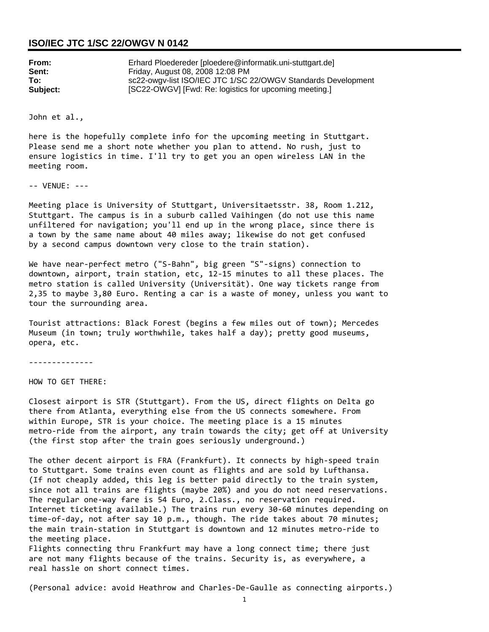## **ISO/IEC JTC 1/SC 22/OWGV N 0142**

| From:    | Erhard Ploedereder [ploedere@informatik.uni-stuttgart.de]     |
|----------|---------------------------------------------------------------|
| Sent:    | Friday, August 08, 2008 12:08 PM                              |
| To:      | sc22-owgv-list ISO/IEC JTC 1/SC 22/OWGV Standards Development |
| Subject: | [SC22-OWGV] [Fwd: Re: logistics for upcoming meeting.]        |

John et al.,

here is the hopefully complete info for the upcoming meeting in Stuttgart. Please send me a short note whether you plan to attend. No rush, just to ensure logistics in time. I'll try to get you an open wireless LAN in the meeting room.

‐‐ VENUE: ‐‐‐

Meeting place is University of Stuttgart, Universitaetsstr. 38, Room 1.212, Stuttgart. The campus is in a suburb called Vaihingen (do not use this name unfiltered for navigation; you'll end up in the wrong place, since there is a town by the same name about 40 miles away; likewise do not get confused by a second campus downtown very close to the train station).

We have near‐perfect metro ("S‐Bahn", big green "S"‐signs) connection to downtown, airport, train station, etc, 12‐15 minutes to all these places. The metro station is called University (Universität). One way tickets range from 2,35 to maybe 3,80 Euro. Renting a car is a waste of money, unless you want to tour the surrounding area.

Tourist attractions: Black Forest (begins a few miles out of town); Mercedes Museum (in town; truly worthwhile, takes half a day); pretty good museums, opera, etc.

‐‐‐‐‐‐‐‐‐‐‐‐‐‐

HOW TO GET THERE:

Closest airport is STR (Stuttgart). From the US, direct flights on Delta go there from Atlanta, everything else from the US connects somewhere. From within Europe, STR is your choice. The meeting place is a 15 minutes metro-ride from the airport, any train towards the city; get off at University (the first stop after the train goes seriously underground.)

The other decent airport is FRA (Frankfurt). It connects by high-speed train to Stuttgart. Some trains even count as flights and are sold by Lufthansa. (If not cheaply added, this leg is better paid directly to the train system, since not all trains are flights (maybe 20%) and you do not need reservations. The regular one‐way fare is 54 Euro, 2.Class., no reservation required. Internet ticketing available.) The trains run every 30‐60 minutes depending on time-of-day, not after say 10 p.m., though. The ride takes about 70 minutes; the main train‐station in Stuttgart is downtown and 12 minutes metro‐ride to the meeting place.

Flights connecting thru Frankfurt may have a long connect time; there just are not many flights because of the trains. Security is, as everywhere, a real hassle on short connect times.

(Personal advice: avoid Heathrow and Charles‐De‐Gaulle as connecting airports.)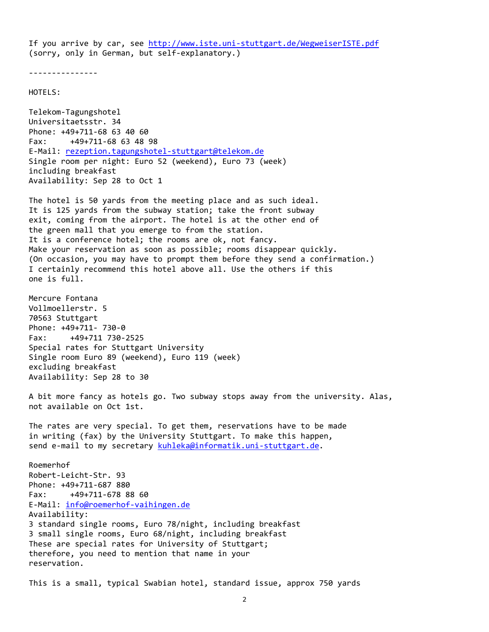If you arrive by car, see http://www.iste.uni‐stuttgart.de/WegweiserISTE.pdf (sorry, only in German, but self‐explanatory.)

‐‐‐‐‐‐‐‐‐‐‐‐‐‐‐

HOTELS:

Telekom‐Tagungshotel Universitaetsstr. 34 Phone: +49+711‐68 63 40 60 Fax: +49+711‐68 63 48 98 E-Mail: rezeption.tagungshotel-stuttgart@telekom.de Single room per night: Euro 52 (weekend), Euro 73 (week) including breakfast Availability: Sep 28 to Oct 1

The hotel is 50 yards from the meeting place and as such ideal. It is 125 yards from the subway station; take the front subway exit, coming from the airport. The hotel is at the other end of the green mall that you emerge to from the station. It is a conference hotel; the rooms are ok, not fancy. Make your reservation as soon as possible; rooms disappear quickly. (On occasion, you may have to prompt them before they send a confirmation.) I certainly recommend this hotel above all. Use the others if this one is full.

Mercure Fontana Vollmoellerstr. 5 70563 Stuttgart Phone: +49+711‐ 730‐0 Fax: +49+711 730‐2525 Special rates for Stuttgart University Single room Euro 89 (weekend), Euro 119 (week) excluding breakfast Availability: Sep 28 to 30

A bit more fancy as hotels go. Two subway stops away from the university. Alas, not available on Oct 1st.

The rates are very special. To get them, reservations have to be made in writing (fax) by the University Stuttgart. To make this happen, send e-mail to my secretary kuhleka@informatik.uni-stuttgart.de.

Roemerhof Robert‐Leicht‐Str. 93 Phone: +49+711‐687 880 Fax: +49+711‐678 88 60 E‐Mail: info@roemerhof‐vaihingen.de Availability: 3 standard single rooms, Euro 78/night, including breakfast 3 small single rooms, Euro 68/night, including breakfast These are special rates for University of Stuttgart; therefore, you need to mention that name in your reservation.

This is a small, typical Swabian hotel, standard issue, approx 750 yards